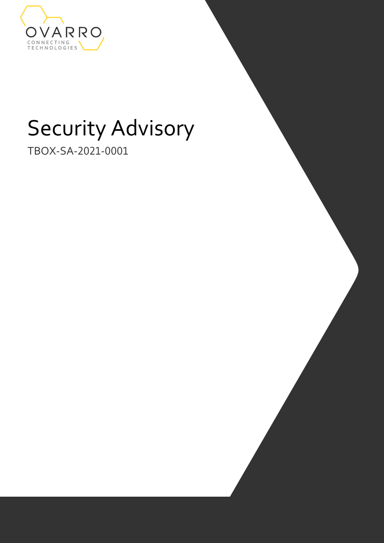

# Security Advisory

TBOX-SA-2021-0001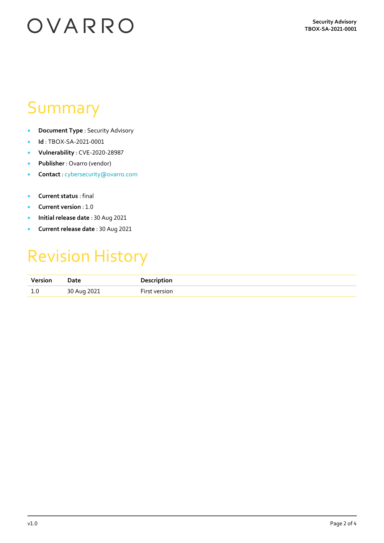# OVARRO

#### Summary

- **Document Type** : Security Advisory
- **Id** : TBOX-SA-2021-0001
- **Vulnerability** : CVE-2020-28987
- **Publisher** : Ovarro (vendor)
- **Contact** : [cybersecurity@ovarro.com](mailto:cybersecurity@ovarro.com)
- **Current status** : final
- **Current version** : 1.0
- **Initial release date** : 30 Aug 2021
- **Current release date** : 30 Aug 2021

#### Revision History

| Version             | Date        | <b>Description</b> |
|---------------------|-------------|--------------------|
| $\mathbf{1}$<br>⊥.∪ | 30 Aug 2021 | version            |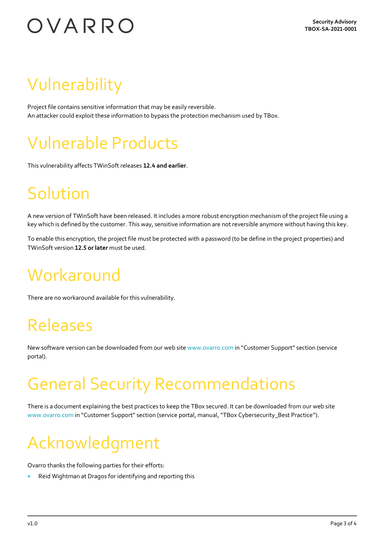# OVARRO

## Vulnerability

Project file contains sensitive information that may be easily reversible. An attacker could exploit these information to bypass the protection mechanism used by TBox.

#### Vulnerable Products

This vulnerability affects TWinSoft releases **12.4 and earlier**.

## Solution

A new version of TWinSoft have been released. It includes a more robust encryption mechanism of the project file using a key which is defined by the customer. This way, sensitive information are not reversible anymore without having this key.

To enable this encryption, the project file must be protected with a password (to be define in the project properties) and TWinSoft version **12.5 or later** must be used.

### **Workaround**

There are no workaround available for this vulnerability.

#### Releases

New software version can be downloaded from our web sit[e www.ovarro.com](http://www.ovarro.com/) in "Customer Support" section (service portal).

### General Security Recommendations

There is a document explaining the best practices to keep the TBox secured. It can be downloaded from our web site [www.ovarro.com](http://www.ovarro.com/) in "Customer Support" section (service portal, manual,"TBox Cybersecurity\_Best Practice").

## Acknowledgment

Ovarro thanks the following parties for their efforts:

• Reid Wightman at Dragos for identifying and reporting this